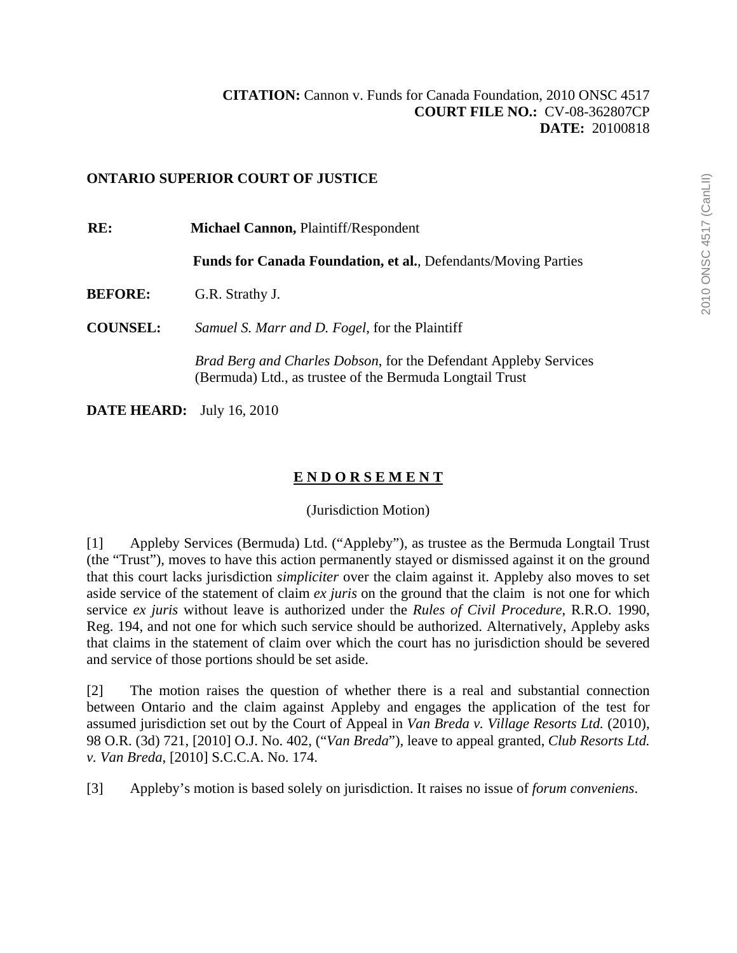# **ONTARIO SUPERIOR COURT OF JUSTICE**

**RE: Michael Cannon,** Plaintiff/Respondent **Funds for Canada Foundation, et al.**, Defendants/Moving Parties **BEFORE:** G.R. Strathy J. **COUNSEL:** *Samuel S. Marr and D. Fogel*, for the Plaintiff *Brad Berg and Charles Dobson*, for the Defendant Appleby Services (Bermuda) Ltd., as trustee of the Bermuda Longtail Trust

**DATE HEARD:** July 16, 2010

# **E N D O R S E M E N T**

# (Jurisdiction Motion)

[1] Appleby Services (Bermuda) Ltd. ("Appleby"), as trustee as the Bermuda Longtail Trust (the "Trust"), moves to have this action permanently stayed or dismissed against it on the ground that this court lacks jurisdiction *simpliciter* over the claim against it. Appleby also moves to set aside service of the statement of claim *ex juris* on the ground that the claim is not one for which service *ex juris* without leave is authorized under the *Rules of Civil Procedure*, R.R.O. 1990, Reg. 194, and not one for which such service should be authorized. Alternatively, Appleby asks that claims in the statement of claim over which the court has no jurisdiction should be severed and service of those portions should be set aside.

[2] The motion raises the question of whether there is a real and substantial connection between Ontario and the claim against Appleby and engages the application of the test for assumed jurisdiction set out by the Court of Appeal in *Van Breda v. Village Resorts Ltd.* (2010), 98 O.R. (3d) 721, [2010] O.J. No. 402, ("*Van Breda*")*,* leave to appeal granted, *Club Resorts Ltd. v. Van Breda*, [2010] S.C.C.A. No. 174.

[3] Appleby's motion is based solely on jurisdiction. It raises no issue of *forum conveniens*.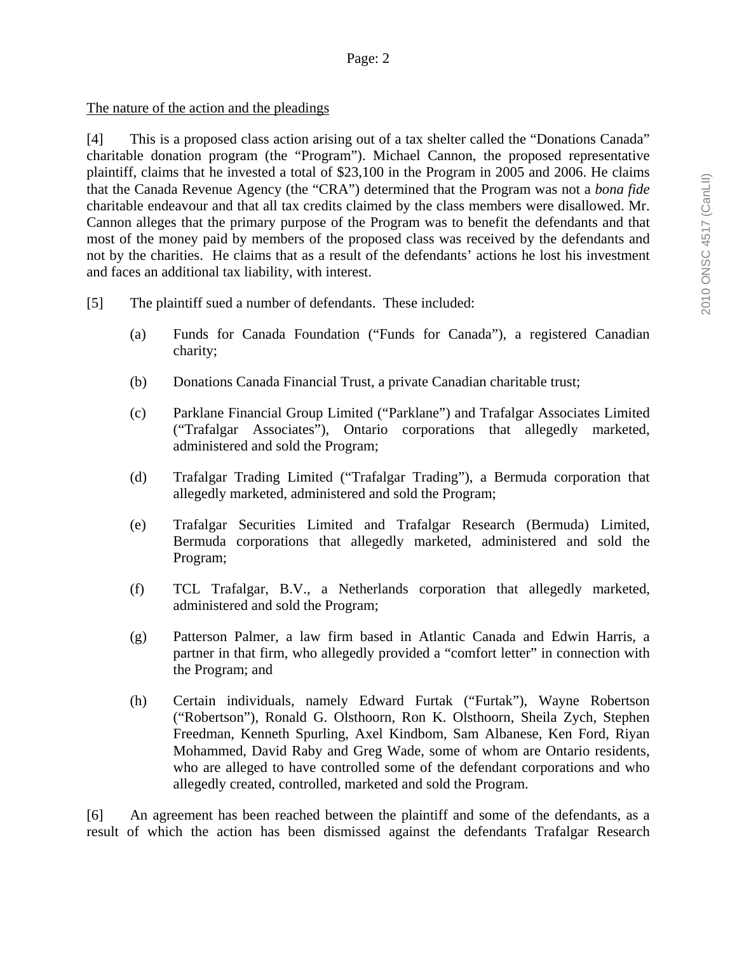#### The nature of the action and the pleadings

[4] This is a proposed class action arising out of a tax shelter called the "Donations Canada" charitable donation program (the "Program"). Michael Cannon, the proposed representative plaintiff, claims that he invested a total of \$23,100 in the Program in 2005 and 2006. He claims that the Canada Revenue Agency (the "CRA") determined that the Program was not a *bona fide*  charitable endeavour and that all tax credits claimed by the class members were disallowed. Mr. Cannon alleges that the primary purpose of the Program was to benefit the defendants and that most of the money paid by members of the proposed class was received by the defendants and not by the charities. He claims that as a result of the defendants' actions he lost his investment and faces an additional tax liability, with interest.

- [5] The plaintiff sued a number of defendants. These included:
	- (a) Funds for Canada Foundation ("Funds for Canada"), a registered Canadian charity;
	- (b) Donations Canada Financial Trust, a private Canadian charitable trust;
	- (c) Parklane Financial Group Limited ("Parklane") and Trafalgar Associates Limited ("Trafalgar Associates"), Ontario corporations that allegedly marketed, administered and sold the Program;
	- (d) Trafalgar Trading Limited ("Trafalgar Trading"), a Bermuda corporation that allegedly marketed, administered and sold the Program;
	- (e) Trafalgar Securities Limited and Trafalgar Research (Bermuda) Limited, Bermuda corporations that allegedly marketed, administered and sold the Program;
	- (f) TCL Trafalgar, B.V., a Netherlands corporation that allegedly marketed, administered and sold the Program;
	- (g) Patterson Palmer, a law firm based in Atlantic Canada and Edwin Harris, a partner in that firm, who allegedly provided a "comfort letter" in connection with the Program; and
	- (h) Certain individuals, namely Edward Furtak ("Furtak"), Wayne Robertson ("Robertson"), Ronald G. Olsthoorn, Ron K. Olsthoorn, Sheila Zych, Stephen Freedman, Kenneth Spurling, Axel Kindbom, Sam Albanese, Ken Ford, Riyan Mohammed, David Raby and Greg Wade, some of whom are Ontario residents, who are alleged to have controlled some of the defendant corporations and who allegedly created, controlled, marketed and sold the Program.

[6] An agreement has been reached between the plaintiff and some of the defendants, as a result of which the action has been dismissed against the defendants Trafalgar Research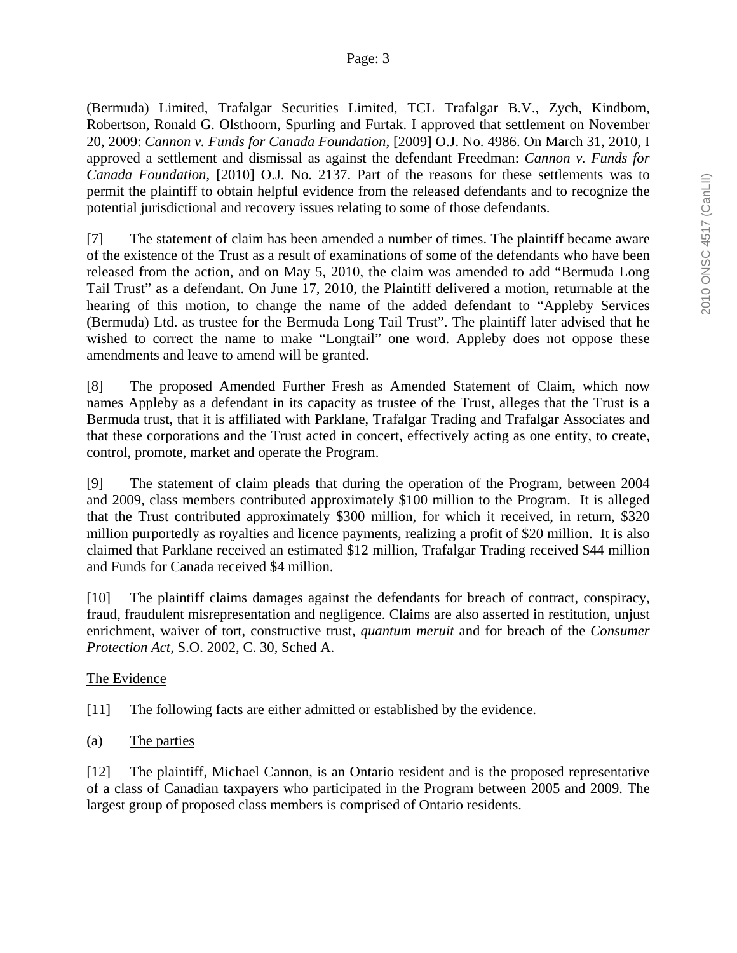(Bermuda) Limited, Trafalgar Securities Limited, TCL Trafalgar B.V., Zych, Kindbom, Robertson, Ronald G. Olsthoorn, Spurling and Furtak. I approved that settlement on November 20, 2009: *Cannon v. Funds for Canada Foundation*, [2009] O.J. No. 4986. On March 31, 2010, I approved a settlement and dismissal as against the defendant Freedman: *Cannon v. Funds for Canada Foundation*, [2010] O.J. No. 2137. Part of the reasons for these settlements was to permit the plaintiff to obtain helpful evidence from the released defendants and to recognize the potential jurisdictional and recovery issues relating to some of those defendants.

[7] The statement of claim has been amended a number of times. The plaintiff became aware of the existence of the Trust as a result of examinations of some of the defendants who have been released from the action, and on May 5, 2010, the claim was amended to add "Bermuda Long Tail Trust" as a defendant. On June 17, 2010, the Plaintiff delivered a motion, returnable at the hearing of this motion, to change the name of the added defendant to "Appleby Services (Bermuda) Ltd. as trustee for the Bermuda Long Tail Trust". The plaintiff later advised that he wished to correct the name to make "Longtail" one word. Appleby does not oppose these amendments and leave to amend will be granted.

[8] The proposed Amended Further Fresh as Amended Statement of Claim, which now names Appleby as a defendant in its capacity as trustee of the Trust, alleges that the Trust is a Bermuda trust, that it is affiliated with Parklane, Trafalgar Trading and Trafalgar Associates and that these corporations and the Trust acted in concert, effectively acting as one entity, to create, control, promote, market and operate the Program.

[9] The statement of claim pleads that during the operation of the Program, between 2004 and 2009, class members contributed approximately \$100 million to the Program. It is alleged that the Trust contributed approximately \$300 million, for which it received, in return, \$320 million purportedly as royalties and licence payments, realizing a profit of \$20 million. It is also claimed that Parklane received an estimated \$12 million, Trafalgar Trading received \$44 million and Funds for Canada received \$4 million.

[10] The plaintiff claims damages against the defendants for breach of contract, conspiracy, fraud, fraudulent misrepresentation and negligence. Claims are also asserted in restitution, unjust enrichment, waiver of tort, constructive trust, *quantum meruit* and for breach of the *Consumer Protection Act,* S.O. 2002, C. 30, Sched A.

# The Evidence

[11] The following facts are either admitted or established by the evidence.

(a) The parties

[12] The plaintiff, Michael Cannon, is an Ontario resident and is the proposed representative of a class of Canadian taxpayers who participated in the Program between 2005 and 2009. The largest group of proposed class members is comprised of Ontario residents.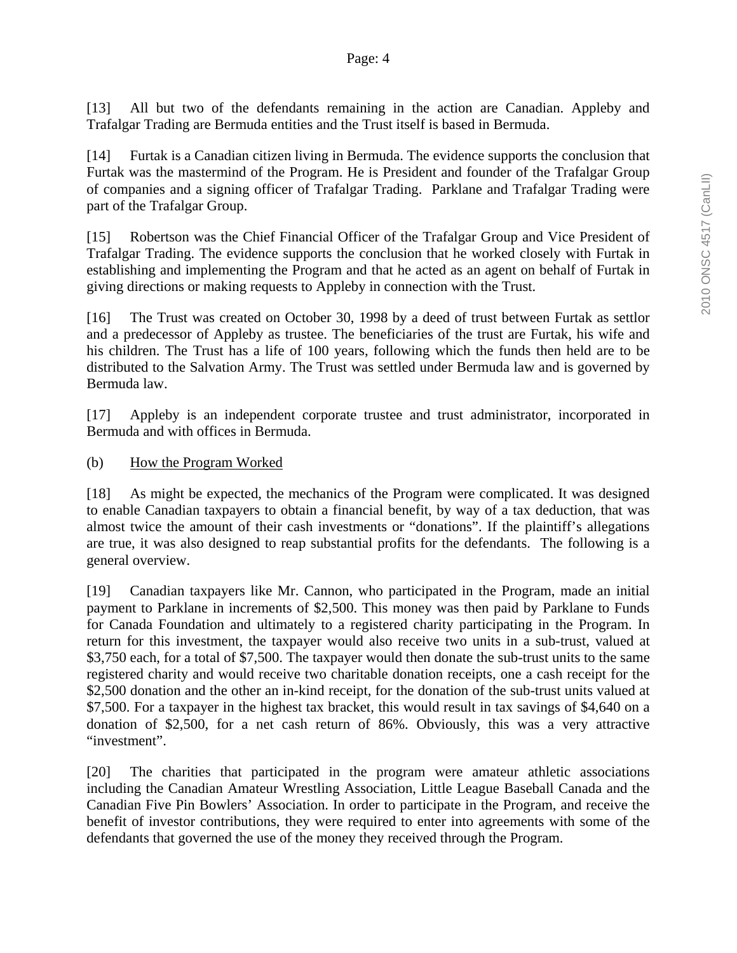[13] All but two of the defendants remaining in the action are Canadian. Appleby and Trafalgar Trading are Bermuda entities and the Trust itself is based in Bermuda.

[14] Furtak is a Canadian citizen living in Bermuda. The evidence supports the conclusion that Furtak was the mastermind of the Program. He is President and founder of the Trafalgar Group of companies and a signing officer of Trafalgar Trading. Parklane and Trafalgar Trading were part of the Trafalgar Group.

[15] Robertson was the Chief Financial Officer of the Trafalgar Group and Vice President of Trafalgar Trading. The evidence supports the conclusion that he worked closely with Furtak in establishing and implementing the Program and that he acted as an agent on behalf of Furtak in giving directions or making requests to Appleby in connection with the Trust.

[16] The Trust was created on October 30, 1998 by a deed of trust between Furtak as settlor and a predecessor of Appleby as trustee. The beneficiaries of the trust are Furtak, his wife and his children. The Trust has a life of 100 years, following which the funds then held are to be distributed to the Salvation Army. The Trust was settled under Bermuda law and is governed by Bermuda law.

[17] Appleby is an independent corporate trustee and trust administrator, incorporated in Bermuda and with offices in Bermuda.

(b) How the Program Worked

[18] As might be expected, the mechanics of the Program were complicated. It was designed to enable Canadian taxpayers to obtain a financial benefit, by way of a tax deduction, that was almost twice the amount of their cash investments or "donations". If the plaintiff's allegations are true, it was also designed to reap substantial profits for the defendants. The following is a general overview.

[19] Canadian taxpayers like Mr. Cannon, who participated in the Program, made an initial payment to Parklane in increments of \$2,500. This money was then paid by Parklane to Funds for Canada Foundation and ultimately to a registered charity participating in the Program. In return for this investment, the taxpayer would also receive two units in a sub-trust, valued at \$3,750 each, for a total of \$7,500. The taxpayer would then donate the sub-trust units to the same registered charity and would receive two charitable donation receipts, one a cash receipt for the \$2,500 donation and the other an in-kind receipt, for the donation of the sub-trust units valued at \$7,500. For a taxpayer in the highest tax bracket, this would result in tax savings of \$4,640 on a donation of \$2,500, for a net cash return of 86%. Obviously, this was a very attractive "investment".

[20] The charities that participated in the program were amateur athletic associations including the Canadian Amateur Wrestling Association, Little League Baseball Canada and the Canadian Five Pin Bowlers' Association. In order to participate in the Program, and receive the benefit of investor contributions, they were required to enter into agreements with some of the defendants that governed the use of the money they received through the Program.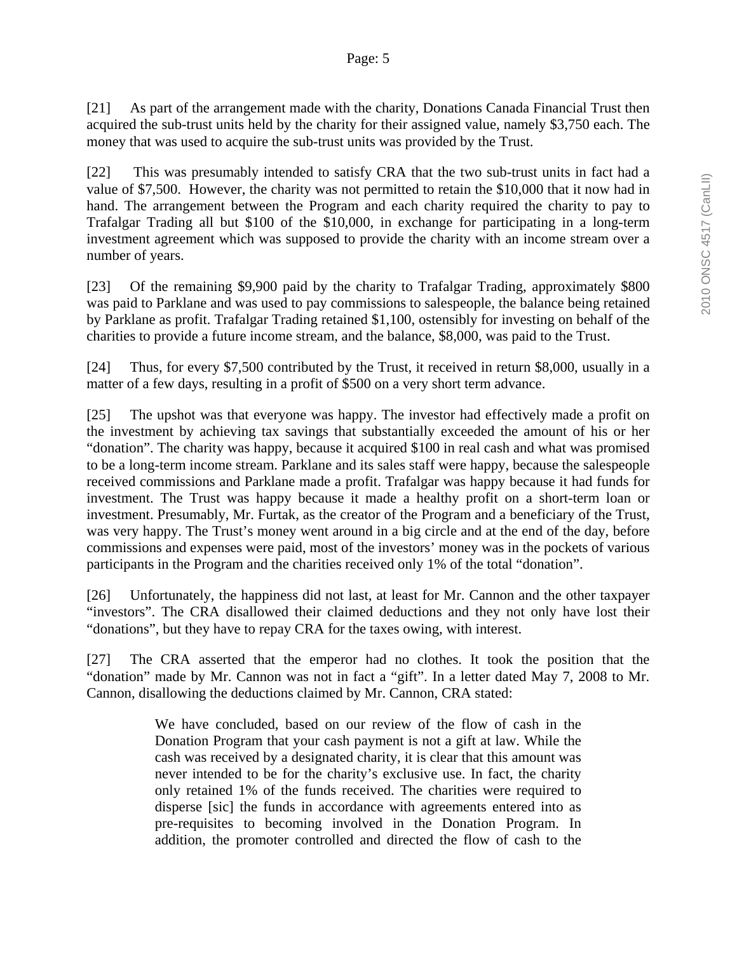[21] As part of the arrangement made with the charity, Donations Canada Financial Trust then acquired the sub-trust units held by the charity for their assigned value, namely \$3,750 each. The money that was used to acquire the sub-trust units was provided by the Trust.

[22] This was presumably intended to satisfy CRA that the two sub-trust units in fact had a value of \$7,500. However, the charity was not permitted to retain the \$10,000 that it now had in hand. The arrangement between the Program and each charity required the charity to pay to Trafalgar Trading all but \$100 of the \$10,000, in exchange for participating in a long-term investment agreement which was supposed to provide the charity with an income stream over a number of years.

[23] Of the remaining \$9,900 paid by the charity to Trafalgar Trading, approximately \$800 was paid to Parklane and was used to pay commissions to salespeople, the balance being retained by Parklane as profit. Trafalgar Trading retained \$1,100, ostensibly for investing on behalf of the charities to provide a future income stream, and the balance, \$8,000, was paid to the Trust.

[24] Thus, for every \$7,500 contributed by the Trust, it received in return \$8,000, usually in a matter of a few days, resulting in a profit of \$500 on a very short term advance.

[25] The upshot was that everyone was happy. The investor had effectively made a profit on the investment by achieving tax savings that substantially exceeded the amount of his or her "donation". The charity was happy, because it acquired \$100 in real cash and what was promised to be a long-term income stream. Parklane and its sales staff were happy, because the salespeople received commissions and Parklane made a profit. Trafalgar was happy because it had funds for investment. The Trust was happy because it made a healthy profit on a short-term loan or investment. Presumably, Mr. Furtak, as the creator of the Program and a beneficiary of the Trust, was very happy. The Trust's money went around in a big circle and at the end of the day, before commissions and expenses were paid, most of the investors' money was in the pockets of various participants in the Program and the charities received only 1% of the total "donation".

[26] Unfortunately, the happiness did not last, at least for Mr. Cannon and the other taxpayer "investors". The CRA disallowed their claimed deductions and they not only have lost their "donations", but they have to repay CRA for the taxes owing, with interest.

[27] The CRA asserted that the emperor had no clothes. It took the position that the "donation" made by Mr. Cannon was not in fact a "gift". In a letter dated May 7, 2008 to Mr. Cannon, disallowing the deductions claimed by Mr. Cannon, CRA stated:

> We have concluded, based on our review of the flow of cash in the Donation Program that your cash payment is not a gift at law. While the cash was received by a designated charity, it is clear that this amount was never intended to be for the charity's exclusive use. In fact, the charity only retained 1% of the funds received. The charities were required to disperse [sic] the funds in accordance with agreements entered into as pre-requisites to becoming involved in the Donation Program. In addition, the promoter controlled and directed the flow of cash to the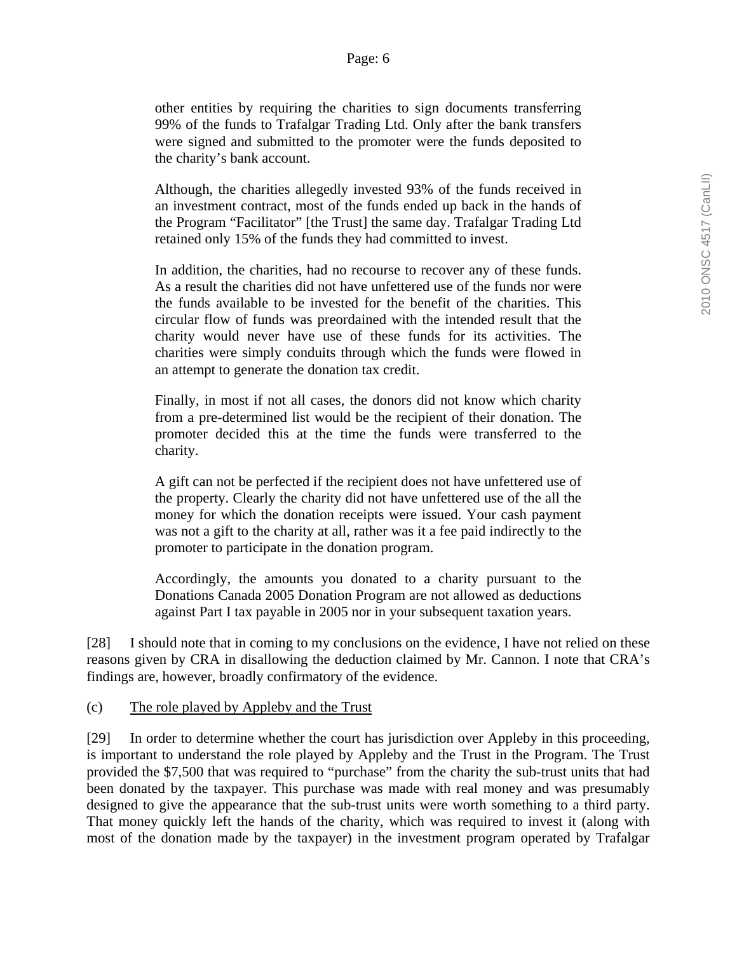other entities by requiring the charities to sign documents transferring 99% of the funds to Trafalgar Trading Ltd. Only after the bank transfers were signed and submitted to the promoter were the funds deposited to the charity's bank account.

Although, the charities allegedly invested 93% of the funds received in an investment contract, most of the funds ended up back in the hands of the Program "Facilitator" [the Trust] the same day. Trafalgar Trading Ltd retained only 15% of the funds they had committed to invest.

In addition, the charities, had no recourse to recover any of these funds. As a result the charities did not have unfettered use of the funds nor were the funds available to be invested for the benefit of the charities. This circular flow of funds was preordained with the intended result that the charity would never have use of these funds for its activities. The charities were simply conduits through which the funds were flowed in an attempt to generate the donation tax credit.

Finally, in most if not all cases, the donors did not know which charity from a pre-determined list would be the recipient of their donation. The promoter decided this at the time the funds were transferred to the charity.

A gift can not be perfected if the recipient does not have unfettered use of the property. Clearly the charity did not have unfettered use of the all the money for which the donation receipts were issued. Your cash payment was not a gift to the charity at all, rather was it a fee paid indirectly to the promoter to participate in the donation program.

Accordingly, the amounts you donated to a charity pursuant to the Donations Canada 2005 Donation Program are not allowed as deductions against Part I tax payable in 2005 nor in your subsequent taxation years.

[28] I should note that in coming to my conclusions on the evidence, I have not relied on these reasons given by CRA in disallowing the deduction claimed by Mr. Cannon. I note that CRA's findings are, however, broadly confirmatory of the evidence.

#### (c) The role played by Appleby and the Trust

[29] In order to determine whether the court has jurisdiction over Appleby in this proceeding, is important to understand the role played by Appleby and the Trust in the Program. The Trust provided the \$7,500 that was required to "purchase" from the charity the sub-trust units that had been donated by the taxpayer. This purchase was made with real money and was presumably designed to give the appearance that the sub-trust units were worth something to a third party. That money quickly left the hands of the charity, which was required to invest it (along with most of the donation made by the taxpayer) in the investment program operated by Trafalgar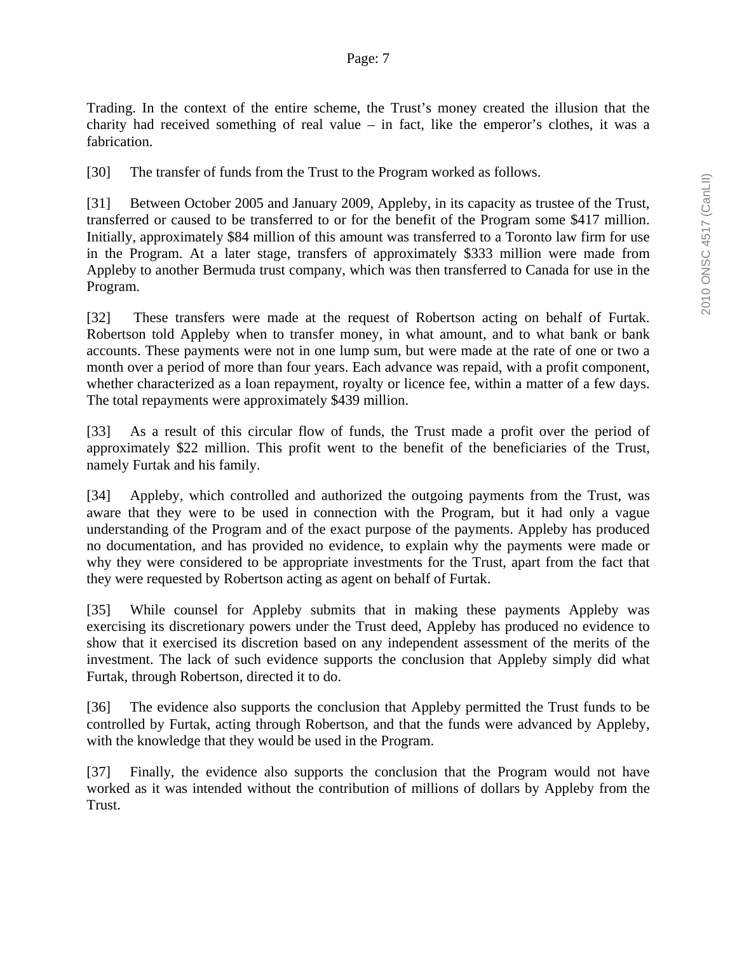Trading. In the context of the entire scheme, the Trust's money created the illusion that the charity had received something of real value – in fact, like the emperor's clothes, it was a fabrication.

[30] The transfer of funds from the Trust to the Program worked as follows.

[31] Between October 2005 and January 2009, Appleby, in its capacity as trustee of the Trust, transferred or caused to be transferred to or for the benefit of the Program some \$417 million. Initially, approximately \$84 million of this amount was transferred to a Toronto law firm for use in the Program. At a later stage, transfers of approximately \$333 million were made from Appleby to another Bermuda trust company, which was then transferred to Canada for use in the Program.

[32] These transfers were made at the request of Robertson acting on behalf of Furtak. Robertson told Appleby when to transfer money, in what amount, and to what bank or bank accounts. These payments were not in one lump sum, but were made at the rate of one or two a month over a period of more than four years. Each advance was repaid, with a profit component, whether characterized as a loan repayment, royalty or licence fee, within a matter of a few days. The total repayments were approximately \$439 million.

[33] As a result of this circular flow of funds, the Trust made a profit over the period of approximately \$22 million. This profit went to the benefit of the beneficiaries of the Trust, namely Furtak and his family.

[34] Appleby, which controlled and authorized the outgoing payments from the Trust, was aware that they were to be used in connection with the Program, but it had only a vague understanding of the Program and of the exact purpose of the payments. Appleby has produced no documentation, and has provided no evidence, to explain why the payments were made or why they were considered to be appropriate investments for the Trust, apart from the fact that they were requested by Robertson acting as agent on behalf of Furtak.

[35] While counsel for Appleby submits that in making these payments Appleby was exercising its discretionary powers under the Trust deed, Appleby has produced no evidence to show that it exercised its discretion based on any independent assessment of the merits of the investment. The lack of such evidence supports the conclusion that Appleby simply did what Furtak, through Robertson, directed it to do.

[36] The evidence also supports the conclusion that Appleby permitted the Trust funds to be controlled by Furtak, acting through Robertson, and that the funds were advanced by Appleby, with the knowledge that they would be used in the Program.

[37] Finally, the evidence also supports the conclusion that the Program would not have worked as it was intended without the contribution of millions of dollars by Appleby from the Trust.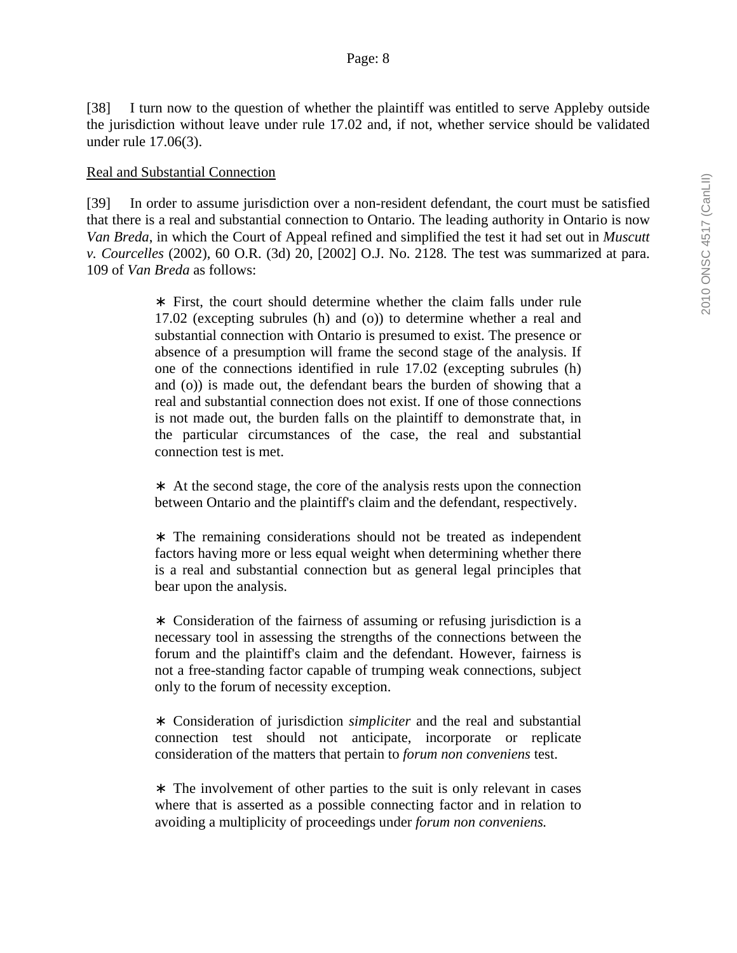[38] I turn now to the question of whether the plaintiff was entitled to serve Appleby outside the jurisdiction without leave under rule 17.02 and, if not, whether service should be validated under rule 17.06(3).

#### Real and Substantial Connection

[39] In order to assume jurisdiction over a non-resident defendant, the court must be satisfied that there is a real and substantial connection to Ontario. The leading authority in Ontario is now *Van Breda*, in which the Court of Appeal refined and simplified the test it had set out in *Muscutt v. Courcelles* (2002), 60 O.R. (3d) 20, [2002] O.J. No. 2128*.* The test was summarized at para. 109 of *Van Breda* as follows:

> ∗ First, the court should determine whether the claim falls under rule 17.02 (excepting subrules (h) and (o)) to determine whether a real and substantial connection with Ontario is presumed to exist. The presence or absence of a presumption will frame the second stage of the analysis. If one of the connections identified in rule 17.02 (excepting subrules (h) and (o)) is made out, the defendant bears the burden of showing that a real and substantial connection does not exist. If one of those connections is not made out, the burden falls on the plaintiff to demonstrate that, in the particular circumstances of the case, the real and substantial connection test is met.

> ∗ At the second stage, the core of the analysis rests upon the connection between Ontario and the plaintiff's claim and the defendant, respectively.

> ∗ The remaining considerations should not be treated as independent factors having more or less equal weight when determining whether there is a real and substantial connection but as general legal principles that bear upon the analysis.

> ∗ Consideration of the fairness of assuming or refusing jurisdiction is a necessary tool in assessing the strengths of the connections between the forum and the plaintiff's claim and the defendant. However, fairness is not a free-standing factor capable of trumping weak connections, subject only to the forum of necessity exception.

> ∗ Consideration of jurisdiction *simpliciter* and the real and substantial connection test should not anticipate, incorporate or replicate consideration of the matters that pertain to *forum non conveniens* test.

> ∗ The involvement of other parties to the suit is only relevant in cases where that is asserted as a possible connecting factor and in relation to avoiding a multiplicity of proceedings under *forum non conveniens.*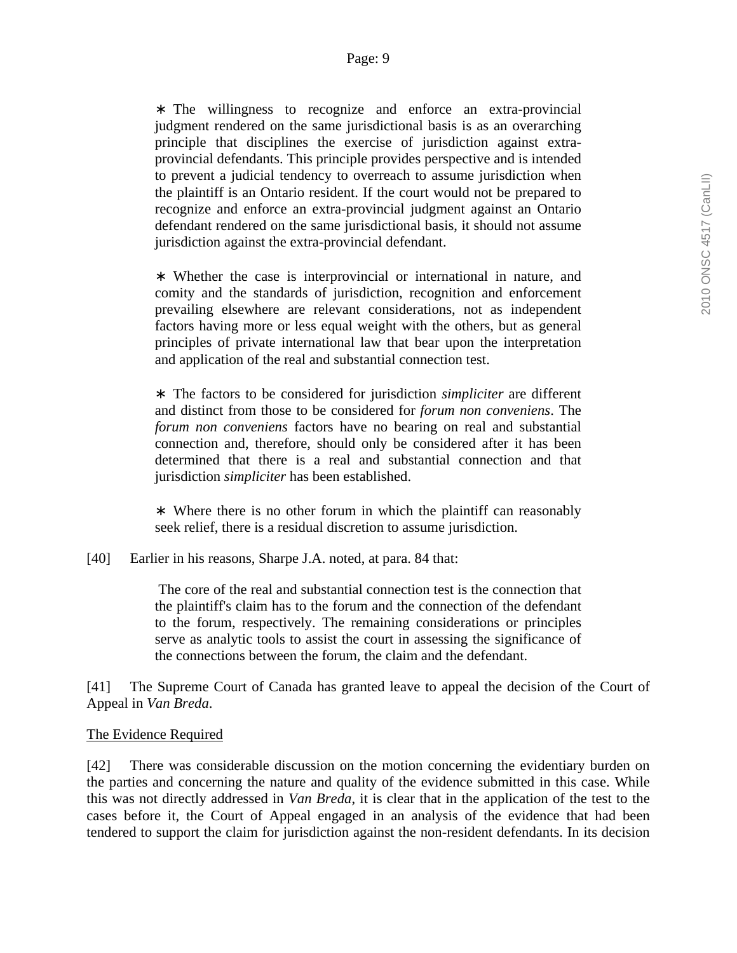∗ The willingness to recognize and enforce an extra-provincial judgment rendered on the same jurisdictional basis is as an overarching principle that disciplines the exercise of jurisdiction against extraprovincial defendants. This principle provides perspective and is intended to prevent a judicial tendency to overreach to assume jurisdiction when the plaintiff is an Ontario resident. If the court would not be prepared to recognize and enforce an extra-provincial judgment against an Ontario defendant rendered on the same jurisdictional basis, it should not assume jurisdiction against the extra-provincial defendant.

∗ Whether the case is interprovincial or international in nature, and comity and the standards of jurisdiction, recognition and enforcement prevailing elsewhere are relevant considerations, not as independent factors having more or less equal weight with the others, but as general principles of private international law that bear upon the interpretation and application of the real and substantial connection test.

∗ The factors to be considered for jurisdiction *simpliciter* are different and distinct from those to be considered for *forum non conveniens*. The *forum non conveniens* factors have no bearing on real and substantial connection and, therefore, should only be considered after it has been determined that there is a real and substantial connection and that jurisdiction *simpliciter* has been established.

∗ Where there is no other forum in which the plaintiff can reasonably seek relief, there is a residual discretion to assume jurisdiction.

[40] Earlier in his reasons, Sharpe J.A. noted, at para. 84 that:

 The core of the real and substantial connection test is the connection that the plaintiff's claim has to the forum and the connection of the defendant to the forum, respectively. The remaining considerations or principles serve as analytic tools to assist the court in assessing the significance of the connections between the forum, the claim and the defendant.

[41] The Supreme Court of Canada has granted leave to appeal the decision of the Court of Appeal in *Van Breda*.

#### The Evidence Required

[42] There was considerable discussion on the motion concerning the evidentiary burden on the parties and concerning the nature and quality of the evidence submitted in this case. While this was not directly addressed in *Van Breda*, it is clear that in the application of the test to the cases before it, the Court of Appeal engaged in an analysis of the evidence that had been tendered to support the claim for jurisdiction against the non-resident defendants. In its decision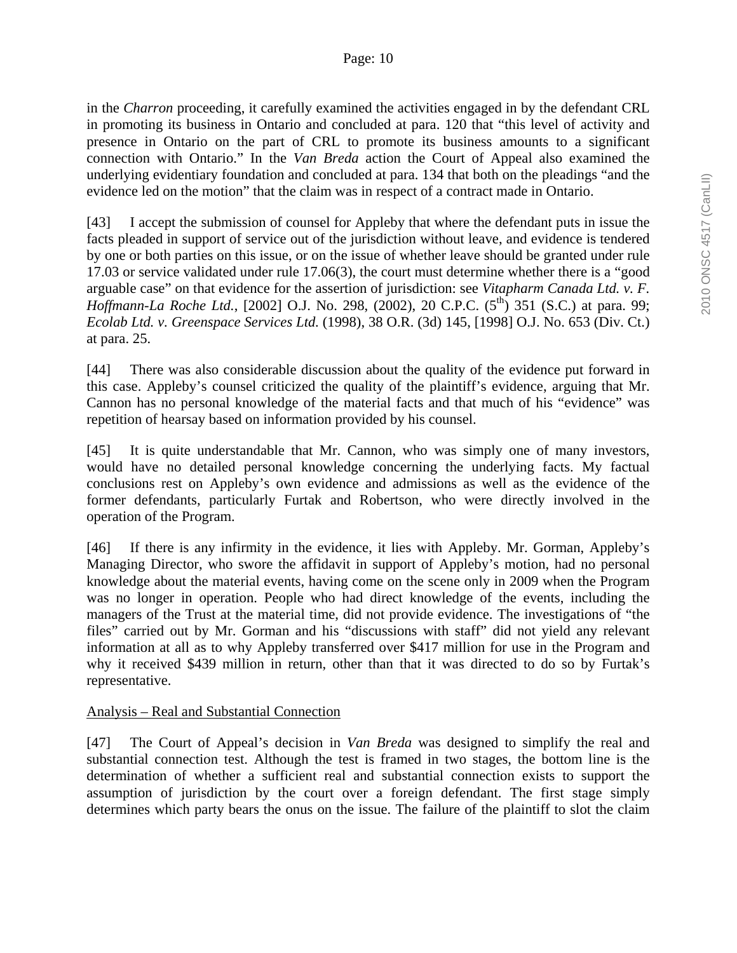#### Page: 10

in the *Charron* proceeding, it carefully examined the activities engaged in by the defendant CRL in promoting its business in Ontario and concluded at para. 120 that "this level of activity and presence in Ontario on the part of CRL to promote its business amounts to a significant connection with Ontario." In the *Van Breda* action the Court of Appeal also examined the underlying evidentiary foundation and concluded at para. 134 that both on the pleadings "and the evidence led on the motion" that the claim was in respect of a contract made in Ontario.

[43] I accept the submission of counsel for Appleby that where the defendant puts in issue the facts pleaded in support of service out of the jurisdiction without leave, and evidence is tendered by one or both parties on this issue, or on the issue of whether leave should be granted under rule 17.03 or service validated under rule 17.06(3), the court must determine whether there is a "good arguable case" on that evidence for the assertion of jurisdiction: see *Vitapharm Canada Ltd. v. F. Hoffmann-La Roche Ltd.*, [2002] O.J. No. 298, (2002), 20 C.P.C. (5<sup>th</sup>) 351 (S.C.) at para. 99; *Ecolab Ltd. v. Greenspace Services Ltd.* (1998), 38 O.R. (3d) 145, [1998] O.J. No. 653 (Div. Ct.) at para. 25.

[44] There was also considerable discussion about the quality of the evidence put forward in this case. Appleby's counsel criticized the quality of the plaintiff's evidence, arguing that Mr. Cannon has no personal knowledge of the material facts and that much of his "evidence" was repetition of hearsay based on information provided by his counsel.

[45] It is quite understandable that Mr. Cannon, who was simply one of many investors, would have no detailed personal knowledge concerning the underlying facts. My factual conclusions rest on Appleby's own evidence and admissions as well as the evidence of the former defendants, particularly Furtak and Robertson, who were directly involved in the operation of the Program.

[46] If there is any infirmity in the evidence, it lies with Appleby. Mr. Gorman, Appleby's Managing Director, who swore the affidavit in support of Appleby's motion, had no personal knowledge about the material events, having come on the scene only in 2009 when the Program was no longer in operation. People who had direct knowledge of the events, including the managers of the Trust at the material time, did not provide evidence. The investigations of "the files" carried out by Mr. Gorman and his "discussions with staff" did not yield any relevant information at all as to why Appleby transferred over \$417 million for use in the Program and why it received \$439 million in return, other than that it was directed to do so by Furtak's representative.

#### Analysis – Real and Substantial Connection

[47] The Court of Appeal's decision in *Van Breda* was designed to simplify the real and substantial connection test. Although the test is framed in two stages, the bottom line is the determination of whether a sufficient real and substantial connection exists to support the assumption of jurisdiction by the court over a foreign defendant. The first stage simply determines which party bears the onus on the issue. The failure of the plaintiff to slot the claim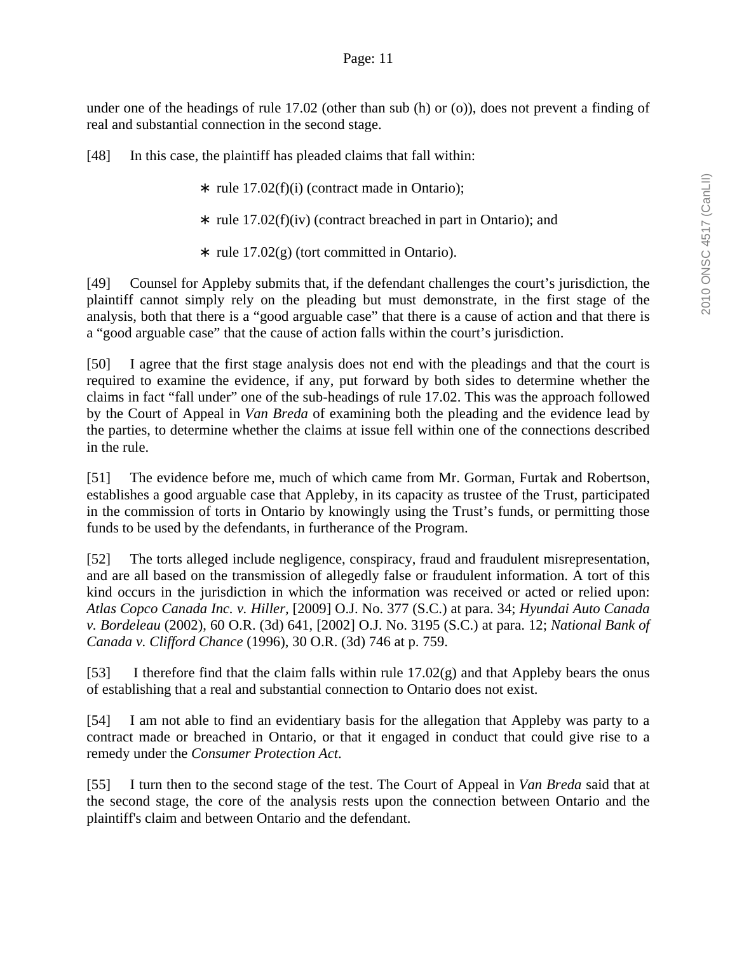under one of the headings of rule 17.02 (other than sub (h) or (o)), does not prevent a finding of real and substantial connection in the second stage.

[48] In this case, the plaintiff has pleaded claims that fall within:

- ∗ rule 17.02(f)(i) (contract made in Ontario);
- ∗ rule 17.02(f)(iv) (contract breached in part in Ontario); and
- ∗ rule 17.02(g) (tort committed in Ontario).

[49] Counsel for Appleby submits that, if the defendant challenges the court's jurisdiction, the plaintiff cannot simply rely on the pleading but must demonstrate, in the first stage of the analysis, both that there is a "good arguable case" that there is a cause of action and that there is a "good arguable case" that the cause of action falls within the court's jurisdiction.

[50] I agree that the first stage analysis does not end with the pleadings and that the court is required to examine the evidence, if any, put forward by both sides to determine whether the claims in fact "fall under" one of the sub-headings of rule 17.02. This was the approach followed by the Court of Appeal in *Van Breda* of examining both the pleading and the evidence lead by the parties, to determine whether the claims at issue fell within one of the connections described in the rule.

[51] The evidence before me, much of which came from Mr. Gorman, Furtak and Robertson, establishes a good arguable case that Appleby, in its capacity as trustee of the Trust, participated in the commission of torts in Ontario by knowingly using the Trust's funds, or permitting those funds to be used by the defendants, in furtherance of the Program.

[52] The torts alleged include negligence, conspiracy, fraud and fraudulent misrepresentation, and are all based on the transmission of allegedly false or fraudulent information. A tort of this kind occurs in the jurisdiction in which the information was received or acted or relied upon: *Atlas Copco Canada Inc. v. Hiller,* [2009] O.J. No. 377 (S.C.) at para. 34; *Hyundai Auto Canada v. Bordeleau* (2002), 60 O.R. (3d) 641, [2002] O.J. No. 3195 (S.C.) at para. 12; *National Bank of Canada v. Clifford Chance* (1996), 30 O.R. (3d) 746 at p. 759.

[53] I therefore find that the claim falls within rule  $17.02(g)$  and that Appleby bears the onus of establishing that a real and substantial connection to Ontario does not exist.

[54] I am not able to find an evidentiary basis for the allegation that Appleby was party to a contract made or breached in Ontario, or that it engaged in conduct that could give rise to a remedy under the *Consumer Protection Act*.

[55] I turn then to the second stage of the test. The Court of Appeal in *Van Breda* said that at the second stage, the core of the analysis rests upon the connection between Ontario and the plaintiff's claim and between Ontario and the defendant.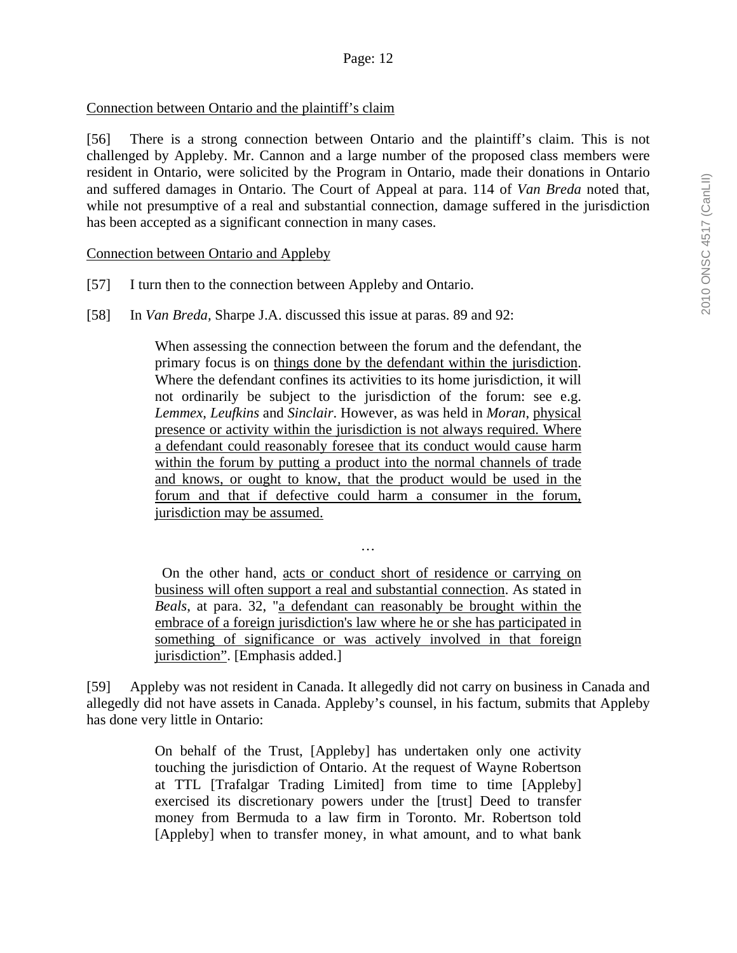### Connection between Ontario and the plaintiff's claim

[56] There is a strong connection between Ontario and the plaintiff's claim. This is not challenged by Appleby. Mr. Cannon and a large number of the proposed class members were resident in Ontario, were solicited by the Program in Ontario, made their donations in Ontario and suffered damages in Ontario. The Court of Appeal at para. 114 of *Van Breda* noted that, while not presumptive of a real and substantial connection, damage suffered in the jurisdiction has been accepted as a significant connection in many cases.

#### Connection between Ontario and Appleby

- [57] I turn then to the connection between Appleby and Ontario.
- [58] In *Van Breda,* Sharpe J.A. discussed this issue at paras. 89 and 92:

When assessing the connection between the forum and the defendant, the primary focus is on things done by the defendant within the jurisdiction. Where the defendant confines its activities to its home jurisdiction, it will not ordinarily be subject to the jurisdiction of the forum: see e.g. *Lemmex*, *Leufkins* and *Sinclair*. However, as was held in *Moran*, physical presence or activity within the jurisdiction is not always required. Where a defendant could reasonably foresee that its conduct would cause harm within the forum by putting a product into the normal channels of trade and knows, or ought to know, that the product would be used in the forum and that if defective could harm a consumer in the forum, jurisdiction may be assumed.

 On the other hand, acts or conduct short of residence or carrying on business will often support a real and substantial connection. As stated in *Beals*, at para. 32, "a defendant can reasonably be brought within the embrace of a foreign jurisdiction's law where he or she has participated in something of significance or was actively involved in that foreign jurisdiction". [Emphasis added.]

…

[59] Appleby was not resident in Canada. It allegedly did not carry on business in Canada and allegedly did not have assets in Canada. Appleby's counsel, in his factum, submits that Appleby has done very little in Ontario:

> On behalf of the Trust, [Appleby] has undertaken only one activity touching the jurisdiction of Ontario. At the request of Wayne Robertson at TTL [Trafalgar Trading Limited] from time to time [Appleby] exercised its discretionary powers under the [trust] Deed to transfer money from Bermuda to a law firm in Toronto. Mr. Robertson told [Appleby] when to transfer money, in what amount, and to what bank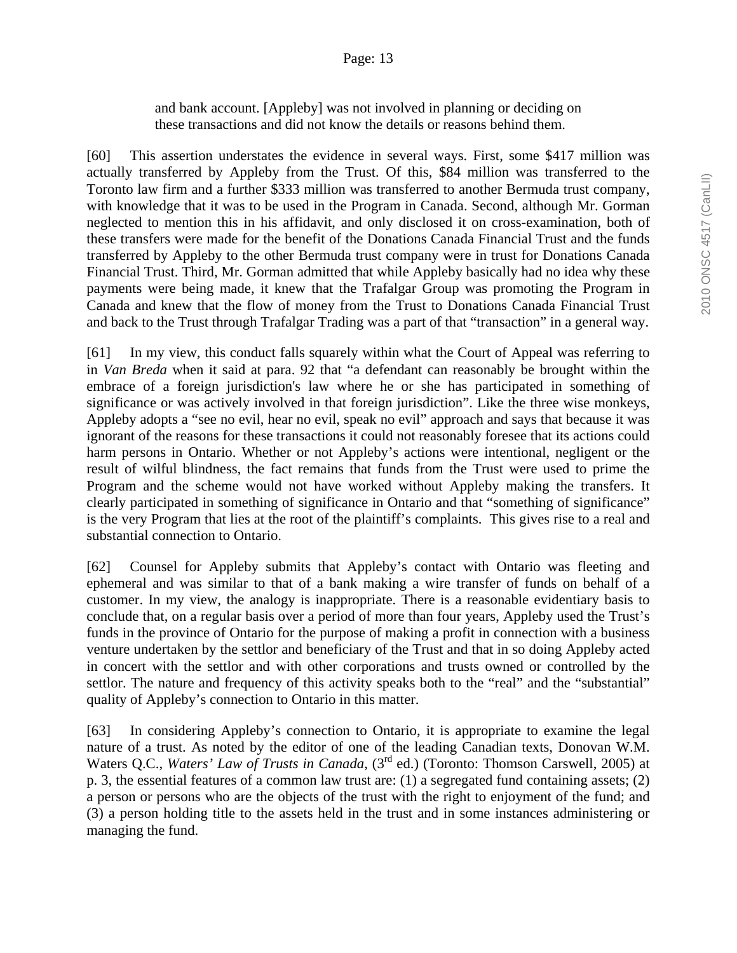and bank account. [Appleby] was not involved in planning or deciding on these transactions and did not know the details or reasons behind them.

[60] This assertion understates the evidence in several ways. First, some \$417 million was actually transferred by Appleby from the Trust. Of this, \$84 million was transferred to the Toronto law firm and a further \$333 million was transferred to another Bermuda trust company, with knowledge that it was to be used in the Program in Canada. Second, although Mr. Gorman neglected to mention this in his affidavit, and only disclosed it on cross-examination, both of these transfers were made for the benefit of the Donations Canada Financial Trust and the funds transferred by Appleby to the other Bermuda trust company were in trust for Donations Canada Financial Trust. Third, Mr. Gorman admitted that while Appleby basically had no idea why these payments were being made, it knew that the Trafalgar Group was promoting the Program in Canada and knew that the flow of money from the Trust to Donations Canada Financial Trust and back to the Trust through Trafalgar Trading was a part of that "transaction" in a general way.

[61] In my view, this conduct falls squarely within what the Court of Appeal was referring to in *Van Breda* when it said at para. 92 that "a defendant can reasonably be brought within the embrace of a foreign jurisdiction's law where he or she has participated in something of significance or was actively involved in that foreign jurisdiction". Like the three wise monkeys, Appleby adopts a "see no evil, hear no evil, speak no evil" approach and says that because it was ignorant of the reasons for these transactions it could not reasonably foresee that its actions could harm persons in Ontario. Whether or not Appleby's actions were intentional, negligent or the result of wilful blindness, the fact remains that funds from the Trust were used to prime the Program and the scheme would not have worked without Appleby making the transfers. It clearly participated in something of significance in Ontario and that "something of significance" is the very Program that lies at the root of the plaintiff's complaints. This gives rise to a real and substantial connection to Ontario.

[62] Counsel for Appleby submits that Appleby's contact with Ontario was fleeting and ephemeral and was similar to that of a bank making a wire transfer of funds on behalf of a customer. In my view, the analogy is inappropriate. There is a reasonable evidentiary basis to conclude that, on a regular basis over a period of more than four years, Appleby used the Trust's funds in the province of Ontario for the purpose of making a profit in connection with a business venture undertaken by the settlor and beneficiary of the Trust and that in so doing Appleby acted in concert with the settlor and with other corporations and trusts owned or controlled by the settlor. The nature and frequency of this activity speaks both to the "real" and the "substantial" quality of Appleby's connection to Ontario in this matter.

[63] In considering Appleby's connection to Ontario, it is appropriate to examine the legal nature of a trust. As noted by the editor of one of the leading Canadian texts, Donovan W.M. Waters Q.C., *Waters' Law of Trusts in Canada*, (3<sup>rd</sup> ed.) (Toronto: Thomson Carswell, 2005) at p. 3, the essential features of a common law trust are: (1) a segregated fund containing assets; (2) a person or persons who are the objects of the trust with the right to enjoyment of the fund; and (3) a person holding title to the assets held in the trust and in some instances administering or managing the fund.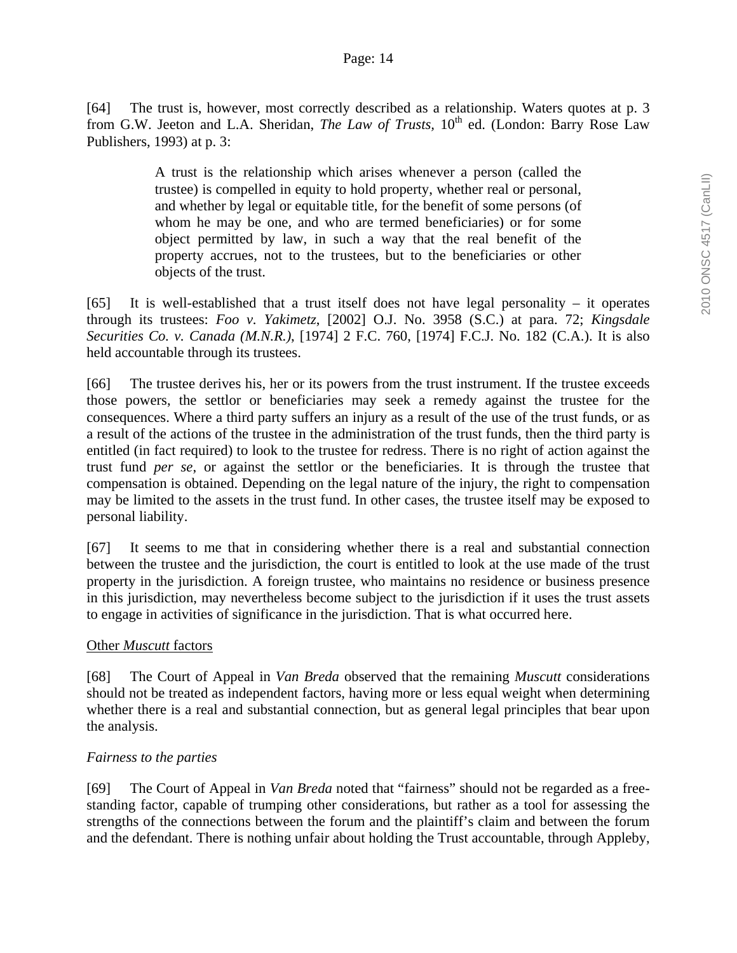[64] The trust is, however, most correctly described as a relationship. Waters quotes at p. 3 from G.W. Jeeton and L.A. Sheridan, *The Law of Trusts*, 10<sup>th</sup> ed. (London: Barry Rose Law Publishers, 1993) at p. 3:

> A trust is the relationship which arises whenever a person (called the trustee) is compelled in equity to hold property, whether real or personal, and whether by legal or equitable title, for the benefit of some persons (of whom he may be one, and who are termed beneficiaries) or for some object permitted by law, in such a way that the real benefit of the property accrues, not to the trustees, but to the beneficiaries or other objects of the trust.

[65] It is well-established that a trust itself does not have legal personality – it operates through its trustees: *Foo v. Yakimetz*, [2002] O.J. No. 3958 (S.C.) at para. 72; *Kingsdale Securities Co. v. Canada (M.N.R.)*, [1974] 2 F.C. 760, [1974] F.C.J. No. 182 (C.A.). It is also held accountable through its trustees.

[66] The trustee derives his, her or its powers from the trust instrument. If the trustee exceeds those powers, the settlor or beneficiaries may seek a remedy against the trustee for the consequences. Where a third party suffers an injury as a result of the use of the trust funds, or as a result of the actions of the trustee in the administration of the trust funds, then the third party is entitled (in fact required) to look to the trustee for redress. There is no right of action against the trust fund *per se*, or against the settlor or the beneficiaries. It is through the trustee that compensation is obtained. Depending on the legal nature of the injury, the right to compensation may be limited to the assets in the trust fund. In other cases, the trustee itself may be exposed to personal liability.

[67] It seems to me that in considering whether there is a real and substantial connection between the trustee and the jurisdiction, the court is entitled to look at the use made of the trust property in the jurisdiction. A foreign trustee, who maintains no residence or business presence in this jurisdiction, may nevertheless become subject to the jurisdiction if it uses the trust assets to engage in activities of significance in the jurisdiction. That is what occurred here.

# Other *Muscutt* factors

[68] The Court of Appeal in *Van Breda* observed that the remaining *Muscutt* considerations should not be treated as independent factors, having more or less equal weight when determining whether there is a real and substantial connection, but as general legal principles that bear upon the analysis.

# *Fairness to the parties*

[69] The Court of Appeal in *Van Breda* noted that "fairness" should not be regarded as a freestanding factor, capable of trumping other considerations, but rather as a tool for assessing the strengths of the connections between the forum and the plaintiff's claim and between the forum and the defendant. There is nothing unfair about holding the Trust accountable, through Appleby,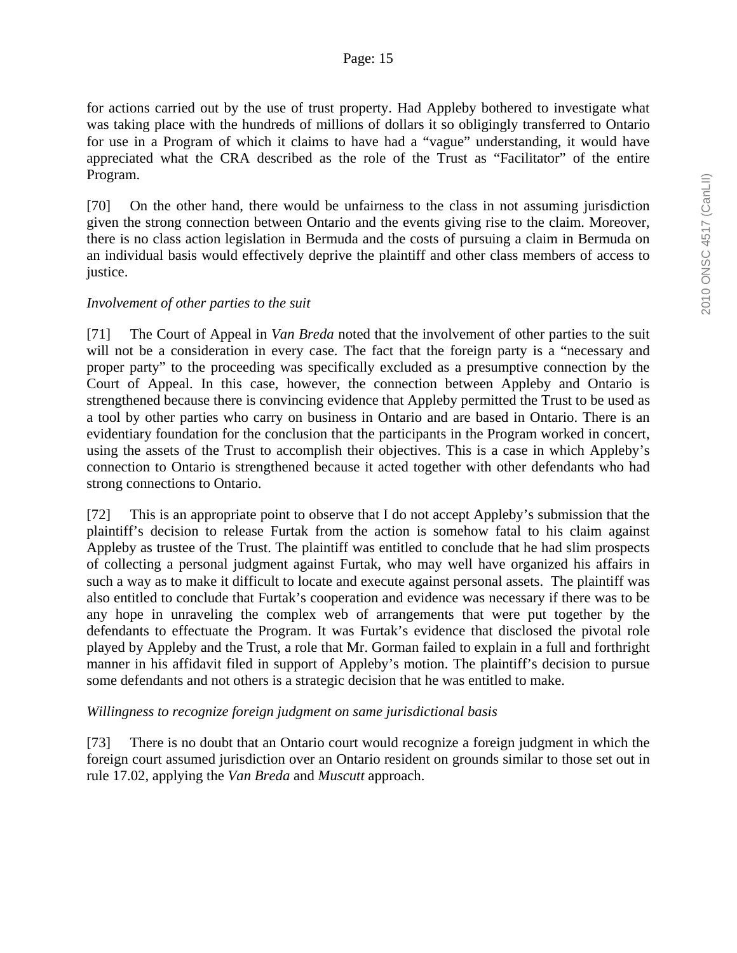for actions carried out by the use of trust property. Had Appleby bothered to investigate what was taking place with the hundreds of millions of dollars it so obligingly transferred to Ontario for use in a Program of which it claims to have had a "vague" understanding, it would have appreciated what the CRA described as the role of the Trust as "Facilitator" of the entire Program.

[70] On the other hand, there would be unfairness to the class in not assuming jurisdiction given the strong connection between Ontario and the events giving rise to the claim. Moreover, there is no class action legislation in Bermuda and the costs of pursuing a claim in Bermuda on an individual basis would effectively deprive the plaintiff and other class members of access to justice.

### *Involvement of other parties to the suit*

[71] The Court of Appeal in *Van Breda* noted that the involvement of other parties to the suit will not be a consideration in every case. The fact that the foreign party is a "necessary and proper party" to the proceeding was specifically excluded as a presumptive connection by the Court of Appeal. In this case, however, the connection between Appleby and Ontario is strengthened because there is convincing evidence that Appleby permitted the Trust to be used as a tool by other parties who carry on business in Ontario and are based in Ontario. There is an evidentiary foundation for the conclusion that the participants in the Program worked in concert, using the assets of the Trust to accomplish their objectives. This is a case in which Appleby's connection to Ontario is strengthened because it acted together with other defendants who had strong connections to Ontario.

[72] This is an appropriate point to observe that I do not accept Appleby's submission that the plaintiff's decision to release Furtak from the action is somehow fatal to his claim against Appleby as trustee of the Trust. The plaintiff was entitled to conclude that he had slim prospects of collecting a personal judgment against Furtak, who may well have organized his affairs in such a way as to make it difficult to locate and execute against personal assets. The plaintiff was also entitled to conclude that Furtak's cooperation and evidence was necessary if there was to be any hope in unraveling the complex web of arrangements that were put together by the defendants to effectuate the Program. It was Furtak's evidence that disclosed the pivotal role played by Appleby and the Trust, a role that Mr. Gorman failed to explain in a full and forthright manner in his affidavit filed in support of Appleby's motion. The plaintiff's decision to pursue some defendants and not others is a strategic decision that he was entitled to make.

# *Willingness to recognize foreign judgment on same jurisdictional basis*

[73] There is no doubt that an Ontario court would recognize a foreign judgment in which the foreign court assumed jurisdiction over an Ontario resident on grounds similar to those set out in rule 17.02, applying the *Van Breda* and *Muscutt* approach.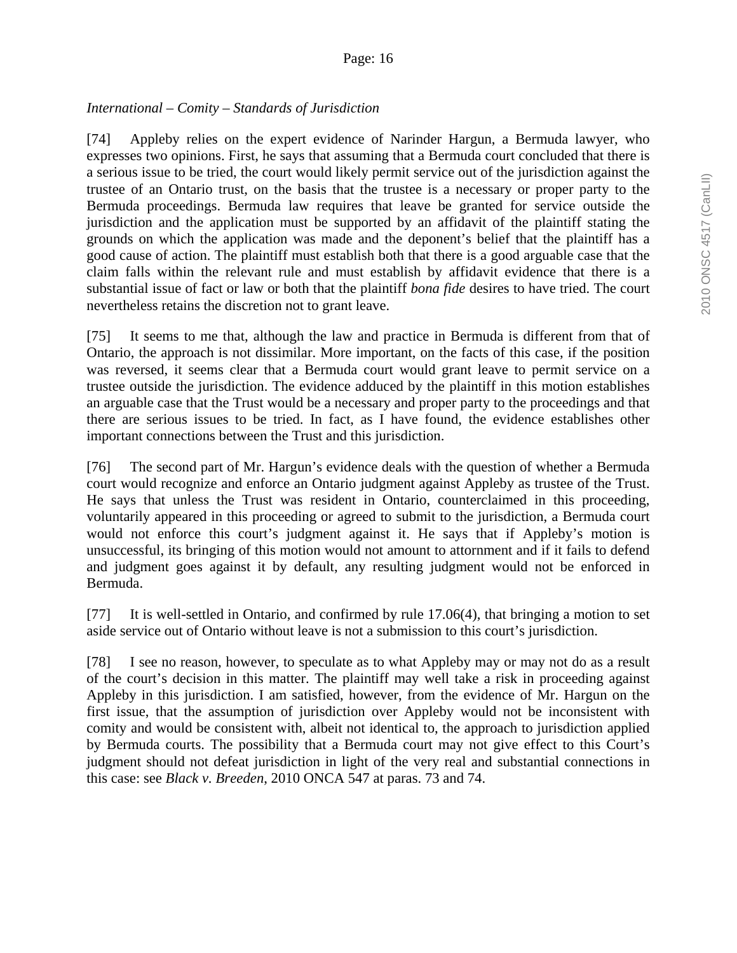### *International – Comity – Standards of Jurisdiction*

[74] Appleby relies on the expert evidence of Narinder Hargun, a Bermuda lawyer, who expresses two opinions. First, he says that assuming that a Bermuda court concluded that there is a serious issue to be tried, the court would likely permit service out of the jurisdiction against the trustee of an Ontario trust, on the basis that the trustee is a necessary or proper party to the Bermuda proceedings. Bermuda law requires that leave be granted for service outside the jurisdiction and the application must be supported by an affidavit of the plaintiff stating the grounds on which the application was made and the deponent's belief that the plaintiff has a good cause of action. The plaintiff must establish both that there is a good arguable case that the claim falls within the relevant rule and must establish by affidavit evidence that there is a substantial issue of fact or law or both that the plaintiff *bona fide* desires to have tried. The court nevertheless retains the discretion not to grant leave.

[75] It seems to me that, although the law and practice in Bermuda is different from that of Ontario, the approach is not dissimilar. More important, on the facts of this case, if the position was reversed, it seems clear that a Bermuda court would grant leave to permit service on a trustee outside the jurisdiction. The evidence adduced by the plaintiff in this motion establishes an arguable case that the Trust would be a necessary and proper party to the proceedings and that there are serious issues to be tried. In fact, as I have found, the evidence establishes other important connections between the Trust and this jurisdiction.

[76] The second part of Mr. Hargun's evidence deals with the question of whether a Bermuda court would recognize and enforce an Ontario judgment against Appleby as trustee of the Trust. He says that unless the Trust was resident in Ontario, counterclaimed in this proceeding, voluntarily appeared in this proceeding or agreed to submit to the jurisdiction, a Bermuda court would not enforce this court's judgment against it. He says that if Appleby's motion is unsuccessful, its bringing of this motion would not amount to attornment and if it fails to defend and judgment goes against it by default, any resulting judgment would not be enforced in Bermuda.

[77] It is well-settled in Ontario, and confirmed by rule 17.06(4), that bringing a motion to set aside service out of Ontario without leave is not a submission to this court's jurisdiction.

[78] I see no reason, however, to speculate as to what Appleby may or may not do as a result of the court's decision in this matter. The plaintiff may well take a risk in proceeding against Appleby in this jurisdiction. I am satisfied, however, from the evidence of Mr. Hargun on the first issue, that the assumption of jurisdiction over Appleby would not be inconsistent with comity and would be consistent with, albeit not identical to, the approach to jurisdiction applied by Bermuda courts. The possibility that a Bermuda court may not give effect to this Court's judgment should not defeat jurisdiction in light of the very real and substantial connections in this case: see *Black v. Breeden*, 2010 ONCA 547 at paras. 73 and 74.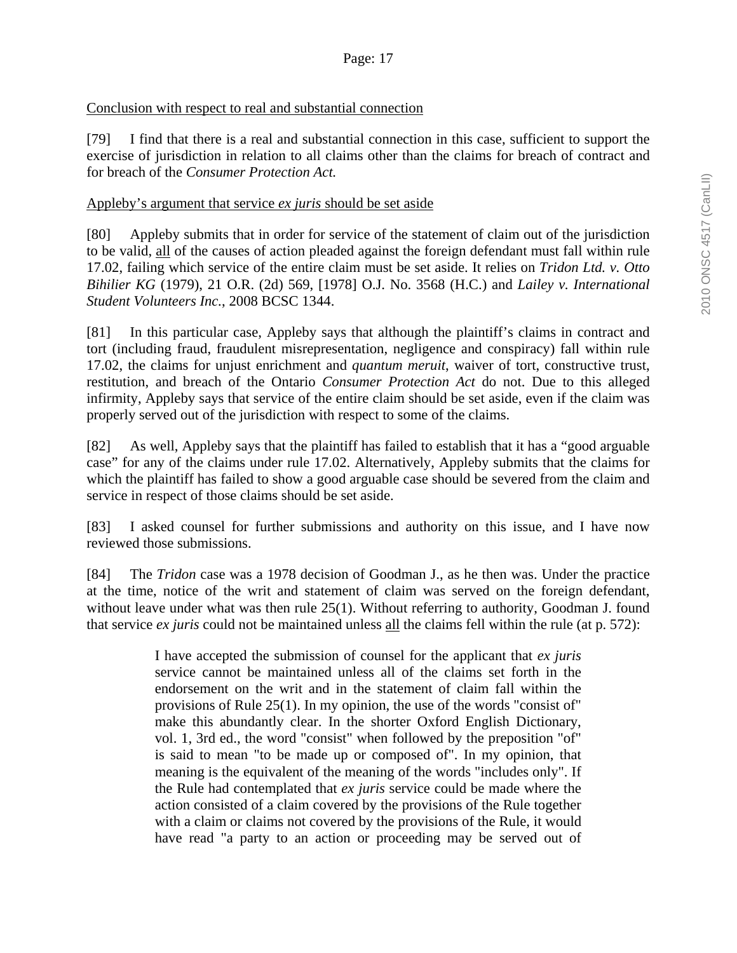### Conclusion with respect to real and substantial connection

[79] I find that there is a real and substantial connection in this case, sufficient to support the exercise of jurisdiction in relation to all claims other than the claims for breach of contract and for breach of the *Consumer Protection Act.* 

#### Appleby's argument that service *ex juris* should be set aside

[80] Appleby submits that in order for service of the statement of claim out of the jurisdiction to be valid, all of the causes of action pleaded against the foreign defendant must fall within rule 17.02, failing which service of the entire claim must be set aside. It relies on *Tridon Ltd. v. Otto Bihilier KG* (1979), 21 O.R. (2d) 569, [1978] O.J. No. 3568 (H.C.) and *Lailey v. International Student Volunteers Inc.*, 2008 BCSC 1344.

[81] In this particular case, Appleby says that although the plaintiff's claims in contract and tort (including fraud, fraudulent misrepresentation, negligence and conspiracy) fall within rule 17.02, the claims for unjust enrichment and *quantum meruit*, waiver of tort, constructive trust, restitution, and breach of the Ontario *Consumer Protection Act* do not. Due to this alleged infirmity, Appleby says that service of the entire claim should be set aside, even if the claim was properly served out of the jurisdiction with respect to some of the claims.

[82] As well, Appleby says that the plaintiff has failed to establish that it has a "good arguable case" for any of the claims under rule 17.02. Alternatively, Appleby submits that the claims for which the plaintiff has failed to show a good arguable case should be severed from the claim and service in respect of those claims should be set aside.

[83] I asked counsel for further submissions and authority on this issue, and I have now reviewed those submissions.

[84] The *Tridon* case was a 1978 decision of Goodman J., as he then was. Under the practice at the time, notice of the writ and statement of claim was served on the foreign defendant, without leave under what was then rule 25(1). Without referring to authority, Goodman J. found that service *ex juris* could not be maintained unless all the claims fell within the rule (at p. 572):

> I have accepted the submission of counsel for the applicant that *ex juris* service cannot be maintained unless all of the claims set forth in the endorsement on the writ and in the statement of claim fall within the provisions of Rule 25(1). In my opinion, the use of the words "consist of" make this abundantly clear. In the shorter Oxford English Dictionary, vol. 1, 3rd ed., the word "consist" when followed by the preposition "of" is said to mean "to be made up or composed of". In my opinion, that meaning is the equivalent of the meaning of the words "includes only". If the Rule had contemplated that *ex juris* service could be made where the action consisted of a claim covered by the provisions of the Rule together with a claim or claims not covered by the provisions of the Rule, it would have read "a party to an action or proceeding may be served out of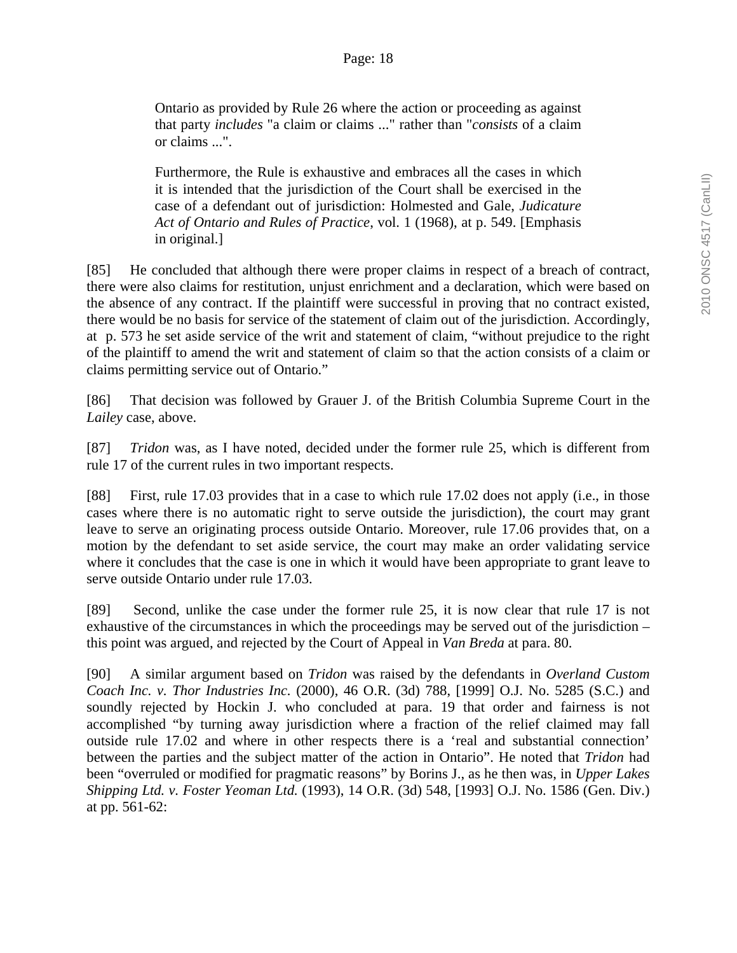Ontario as provided by Rule 26 where the action or proceeding as against that party *includes* "a claim or claims ..." rather than "*consists* of a claim or claims ...".

Furthermore, the Rule is exhaustive and embraces all the cases in which it is intended that the jurisdiction of the Court shall be exercised in the case of a defendant out of jurisdiction: Holmested and Gale, *Judicature Act of Ontario and Rules of Practice*, vol. 1 (1968), at p. 549. [Emphasis in original.]

[85] He concluded that although there were proper claims in respect of a breach of contract, there were also claims for restitution, unjust enrichment and a declaration, which were based on the absence of any contract. If the plaintiff were successful in proving that no contract existed, there would be no basis for service of the statement of claim out of the jurisdiction. Accordingly, at p. 573 he set aside service of the writ and statement of claim, "without prejudice to the right of the plaintiff to amend the writ and statement of claim so that the action consists of a claim or claims permitting service out of Ontario."

[86] That decision was followed by Grauer J. of the British Columbia Supreme Court in the *Lailey* case, above.

[87] *Tridon* was, as I have noted, decided under the former rule 25, which is different from rule 17 of the current rules in two important respects.

[88] First, rule 17.03 provides that in a case to which rule 17.02 does not apply (i.e., in those cases where there is no automatic right to serve outside the jurisdiction), the court may grant leave to serve an originating process outside Ontario. Moreover, rule 17.06 provides that, on a motion by the defendant to set aside service, the court may make an order validating service where it concludes that the case is one in which it would have been appropriate to grant leave to serve outside Ontario under rule 17.03.

[89] Second, unlike the case under the former rule 25, it is now clear that rule 17 is not exhaustive of the circumstances in which the proceedings may be served out of the jurisdiction – this point was argued, and rejected by the Court of Appeal in *Van Breda* at para. 80.

[90] A similar argument based on *Tridon* was raised by the defendants in *Overland Custom Coach Inc. v. Thor Industries Inc.* (2000), 46 O.R. (3d) 788, [1999] O.J. No. 5285 (S.C.) and soundly rejected by Hockin J. who concluded at para. 19 that order and fairness is not accomplished "by turning away jurisdiction where a fraction of the relief claimed may fall outside rule 17.02 and where in other respects there is a 'real and substantial connection' between the parties and the subject matter of the action in Ontario". He noted that *Tridon* had been "overruled or modified for pragmatic reasons" by Borins J., as he then was, in *Upper Lakes Shipping Ltd. v. Foster Yeoman Ltd.* (1993), 14 O.R. (3d) 548, [1993] O.J. No. 1586 (Gen. Div.) at pp. 561-62: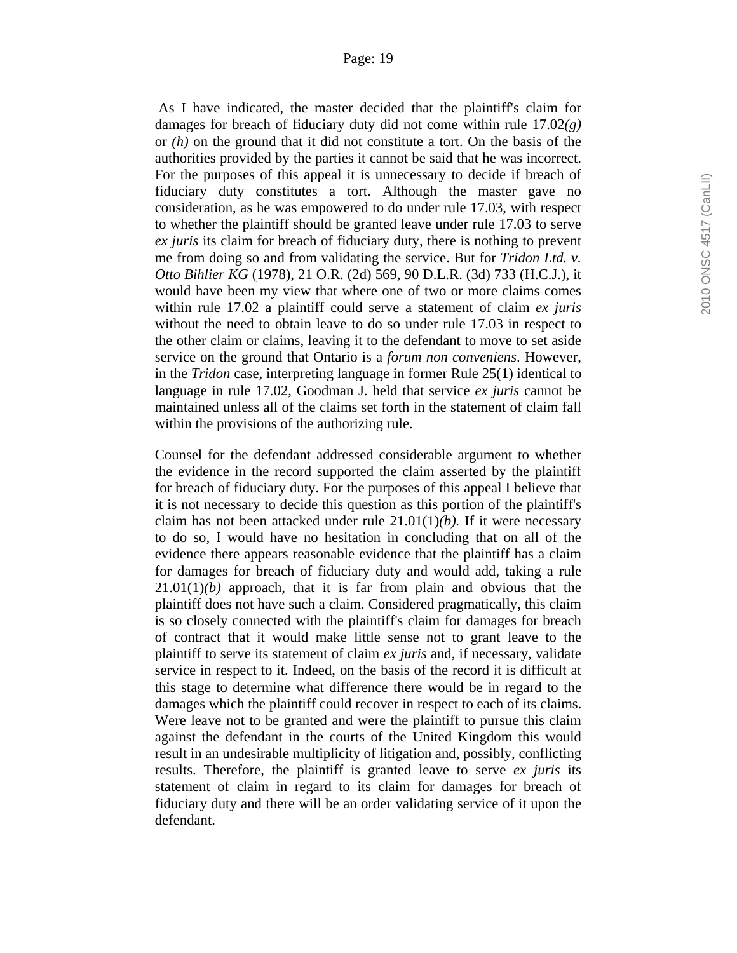As I have indicated, the master decided that the plaintiff's claim for damages for breach of fiduciary duty did not come within rule 17.02*(g)* or *(h)* on the ground that it did not constitute a tort. On the basis of the authorities provided by the parties it cannot be said that he was incorrect. For the purposes of this appeal it is unnecessary to decide if breach of fiduciary duty constitutes a tort. Although the master gave no consideration, as he was empowered to do under rule 17.03, with respect to whether the plaintiff should be granted leave under rule 17.03 to serve *ex juris* its claim for breach of fiduciary duty, there is nothing to prevent me from doing so and from validating the service. But for *Tridon Ltd. v. Otto Bihlier KG* (1978), 21 O.R. (2d) 569, 90 D.L.R. (3d) 733 (H.C.J.), it would have been my view that where one of two or more claims comes within rule 17.02 a plaintiff could serve a statement of claim *ex juris* without the need to obtain leave to do so under rule 17.03 in respect to the other claim or claims, leaving it to the defendant to move to set aside service on the ground that Ontario is a *forum non conveniens*. However, in the *Tridon* case, interpreting language in former Rule 25(1) identical to language in rule 17.02, Goodman J. held that service *ex juris* cannot be maintained unless all of the claims set forth in the statement of claim fall within the provisions of the authorizing rule.

Counsel for the defendant addressed considerable argument to whether the evidence in the record supported the claim asserted by the plaintiff for breach of fiduciary duty. For the purposes of this appeal I believe that it is not necessary to decide this question as this portion of the plaintiff's claim has not been attacked under rule 21.01(1)*(b).* If it were necessary to do so, I would have no hesitation in concluding that on all of the evidence there appears reasonable evidence that the plaintiff has a claim for damages for breach of fiduciary duty and would add, taking a rule  $21.01(1)(b)$  approach, that it is far from plain and obvious that the plaintiff does not have such a claim. Considered pragmatically, this claim is so closely connected with the plaintiff's claim for damages for breach of contract that it would make little sense not to grant leave to the plaintiff to serve its statement of claim *ex juris* and, if necessary, validate service in respect to it. Indeed, on the basis of the record it is difficult at this stage to determine what difference there would be in regard to the damages which the plaintiff could recover in respect to each of its claims. Were leave not to be granted and were the plaintiff to pursue this claim against the defendant in the courts of the United Kingdom this would result in an undesirable multiplicity of litigation and, possibly, conflicting results. Therefore, the plaintiff is granted leave to serve *ex juris* its statement of claim in regard to its claim for damages for breach of fiduciary duty and there will be an order validating service of it upon the defendant.